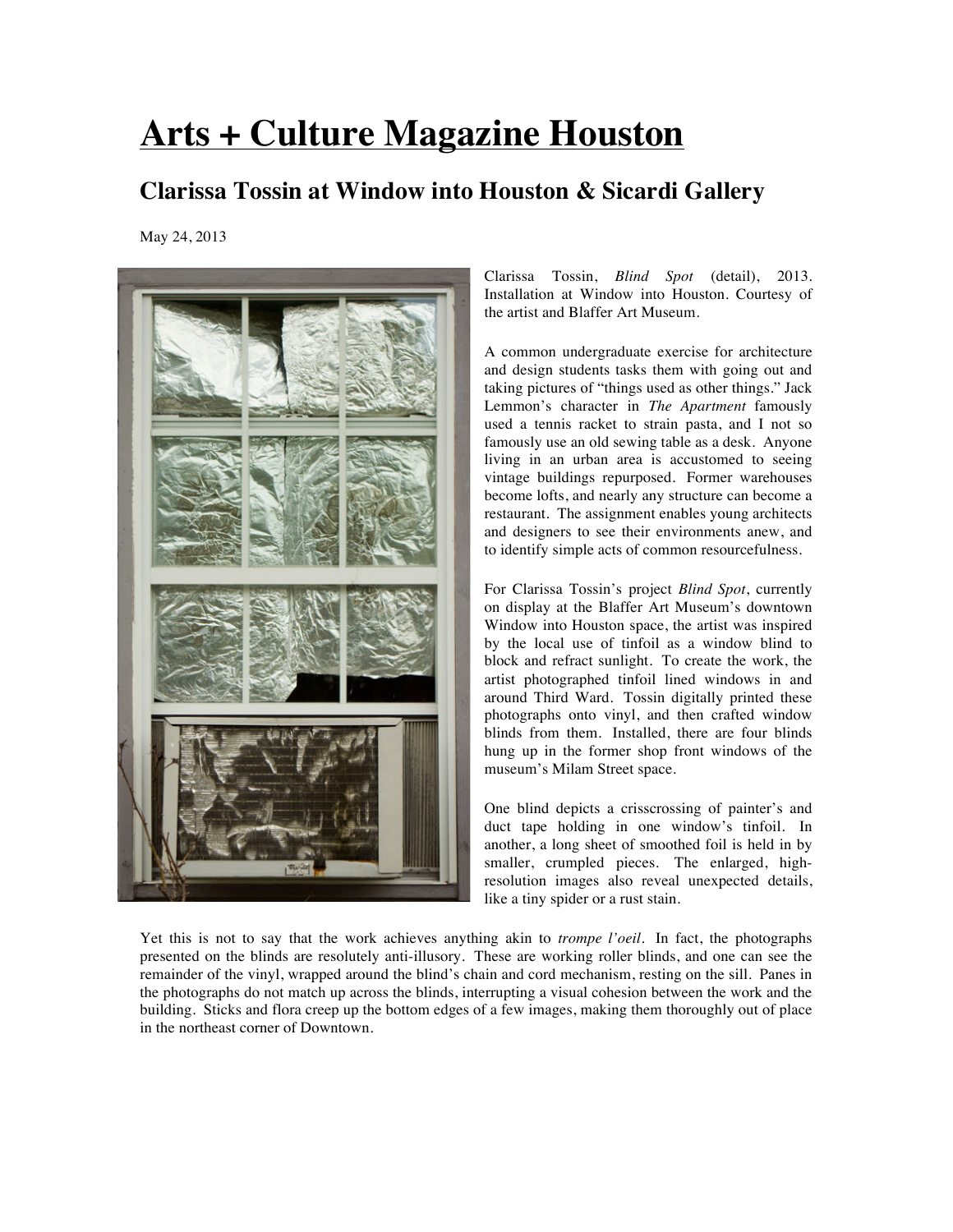## **Arts + Culture Magazine Houston**

## **Clarissa Tossin at Window into Houston & Sicardi Gallery**

May 24, 2013



Clarissa Tossin, *Blind Spot* (detail), 2013. Installation at Window into Houston. Courtesy of the artist and Blaffer Art Museum.

A common undergraduate exercise for architecture and design students tasks them with going out and taking pictures of "things used as other things." Jack Lemmon's character in *The Apartment* famously used a tennis racket to strain pasta, and I not so famously use an old sewing table as a desk. Anyone living in an urban area is accustomed to seeing vintage buildings repurposed. Former warehouses become lofts, and nearly any structure can become a restaurant. The assignment enables young architects and designers to see their environments anew, and to identify simple acts of common resourcefulness.

For Clarissa Tossin's project *Blind Spot*, currently on display at the Blaffer Art Museum's downtown Window into Houston space, the artist was inspired by the local use of tinfoil as a window blind to block and refract sunlight. To create the work, the artist photographed tinfoil lined windows in and around Third Ward. Tossin digitally printed these photographs onto vinyl, and then crafted window blinds from them. Installed, there are four blinds hung up in the former shop front windows of the museum's Milam Street space.

One blind depicts a crisscrossing of painter's and duct tape holding in one window's tinfoil. In another, a long sheet of smoothed foil is held in by smaller, crumpled pieces. The enlarged, highresolution images also reveal unexpected details, like a tiny spider or a rust stain.

Yet this is not to say that the work achieves anything akin to *trompe l'oeil*. In fact, the photographs presented on the blinds are resolutely anti-illusory. These are working roller blinds, and one can see the remainder of the vinyl, wrapped around the blind's chain and cord mechanism, resting on the sill. Panes in the photographs do not match up across the blinds, interrupting a visual cohesion between the work and the building. Sticks and flora creep up the bottom edges of a few images, making them thoroughly out of place in the northeast corner of Downtown.